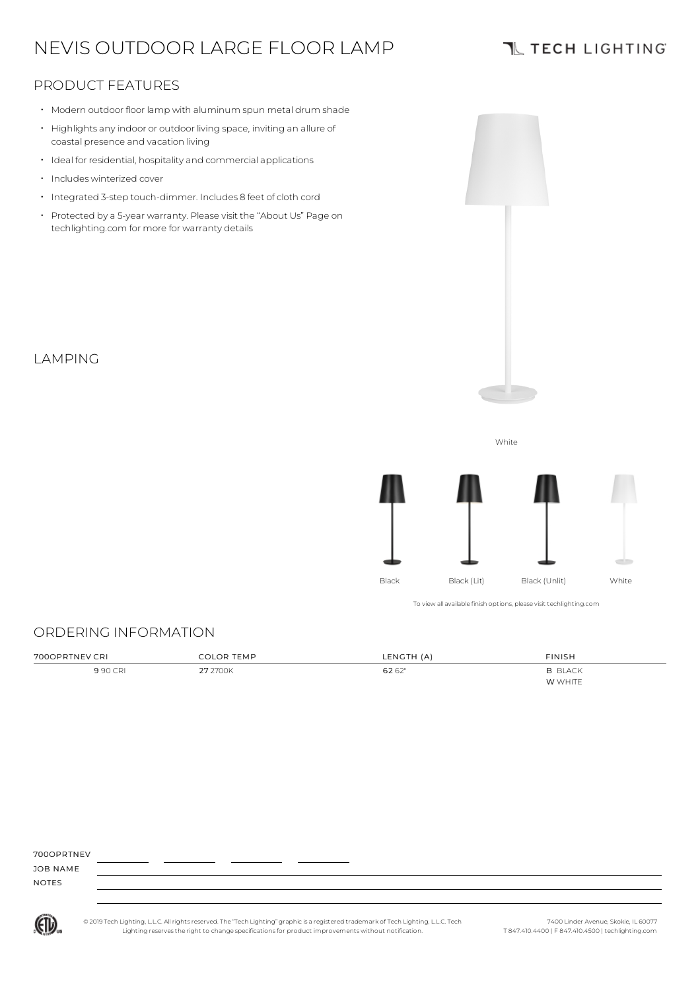# NEVIS OUTDOOR LARGE FLOOR LAMP

### **TL TECH LIGHTING**

### PRODUCT FEATURES

- Modern outdoor floor lamp with aluminum spun metal drum shade
- Highlights anyindoor or outdoor living space, inviting an allure of coastal presence and vacation living
- Ideal for residential, hospitality and commercial applications
- Includes winterized cover
- Integrated 3-step touch-dimmer. Includes 8 feet of cloth cord
- Protected by a 5-year warranty. Please visit the "About Us" Page on techlighting.com for more for warranty details

### LAMPING



# ORDERING INFORMATION

| 700OPRTNEV CRI | <b>COLOR TEMP</b> | LENGTH (A) | FINISH         |
|----------------|-------------------|------------|----------------|
| 9 90 CRI       | 27 2700K          | 62 62"     | <b>B BLACK</b> |
|                |                   |            | W WHITE        |

#### 700OPRTNEV

JOB NAME NOTES

(ETL)

© 2019 Tech Lighting, L.L.C. All rightsreserved. The "Tech Lighting" graphicis a registered trademark of Tech Lighting, L.L.C. Tech Lighting reservesthe right to change specificationsfor product improvements without notification.